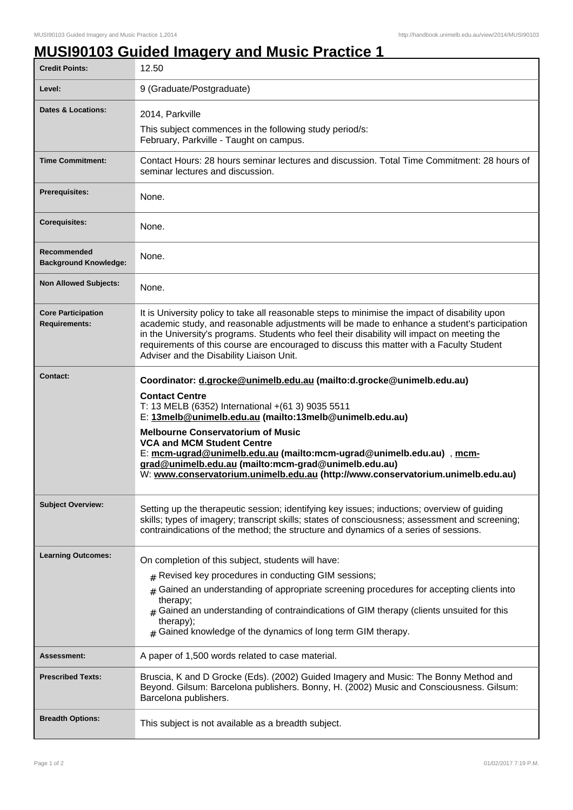## **MUSI90103 Guided Imagery and Music Practice 1**

| <b>Credit Points:</b>                             | 12.50                                                                                                                                                                                                                                                                                                                                                                                                                                                                                                             |
|---------------------------------------------------|-------------------------------------------------------------------------------------------------------------------------------------------------------------------------------------------------------------------------------------------------------------------------------------------------------------------------------------------------------------------------------------------------------------------------------------------------------------------------------------------------------------------|
| Level:                                            | 9 (Graduate/Postgraduate)                                                                                                                                                                                                                                                                                                                                                                                                                                                                                         |
| <b>Dates &amp; Locations:</b>                     | 2014, Parkville                                                                                                                                                                                                                                                                                                                                                                                                                                                                                                   |
|                                                   | This subject commences in the following study period/s:<br>February, Parkville - Taught on campus.                                                                                                                                                                                                                                                                                                                                                                                                                |
| <b>Time Commitment:</b>                           | Contact Hours: 28 hours seminar lectures and discussion. Total Time Commitment: 28 hours of<br>seminar lectures and discussion.                                                                                                                                                                                                                                                                                                                                                                                   |
| <b>Prerequisites:</b>                             | None.                                                                                                                                                                                                                                                                                                                                                                                                                                                                                                             |
| <b>Corequisites:</b>                              | None.                                                                                                                                                                                                                                                                                                                                                                                                                                                                                                             |
| Recommended<br><b>Background Knowledge:</b>       | None.                                                                                                                                                                                                                                                                                                                                                                                                                                                                                                             |
| <b>Non Allowed Subjects:</b>                      | None.                                                                                                                                                                                                                                                                                                                                                                                                                                                                                                             |
| <b>Core Participation</b><br><b>Requirements:</b> | It is University policy to take all reasonable steps to minimise the impact of disability upon<br>academic study, and reasonable adjustments will be made to enhance a student's participation<br>in the University's programs. Students who feel their disability will impact on meeting the<br>requirements of this course are encouraged to discuss this matter with a Faculty Student<br>Adviser and the Disability Liaison Unit.                                                                             |
| <b>Contact:</b>                                   | Coordinator: d.grocke@unimelb.edu.au (mailto:d.grocke@unimelb.edu.au)<br><b>Contact Centre</b><br>T: 13 MELB (6352) International +(61 3) 9035 5511<br>E: 13melb@unimelb.edu.au (mailto:13melb@unimelb.edu.au)<br><b>Melbourne Conservatorium of Music</b><br><b>VCA and MCM Student Centre</b><br>E: mcm-ugrad@unimelb.edu.au (mailto:mcm-ugrad@unimelb.edu.au), mcm-<br>grad@unimelb.edu.au (mailto:mcm-grad@unimelb.edu.au)<br>W: www.conservatorium.unimelb.edu.au (http://www.conservatorium.unimelb.edu.au) |
| <b>Subject Overview:</b>                          | Setting up the therapeutic session; identifying key issues; inductions; overview of guiding<br>skills; types of imagery; transcript skills; states of consciousness; assessment and screening;<br>contraindications of the method; the structure and dynamics of a series of sessions.                                                                                                                                                                                                                            |
| <b>Learning Outcomes:</b>                         | On completion of this subject, students will have:<br>$#$ Revised key procedures in conducting GIM sessions;<br>Gained an understanding of appropriate screening procedures for accepting clients into<br>therapy;<br>$_{\rm #}$ Gained an understanding of contraindications of GIM therapy (clients unsuited for this<br>therapy);<br>$#$ Gained knowledge of the dynamics of long term GIM therapy.                                                                                                            |
| Assessment:                                       | A paper of 1,500 words related to case material.                                                                                                                                                                                                                                                                                                                                                                                                                                                                  |
| <b>Prescribed Texts:</b>                          | Bruscia, K and D Grocke (Eds). (2002) Guided Imagery and Music: The Bonny Method and<br>Beyond. Gilsum: Barcelona publishers. Bonny, H. (2002) Music and Consciousness. Gilsum:<br>Barcelona publishers.                                                                                                                                                                                                                                                                                                          |
| <b>Breadth Options:</b>                           | This subject is not available as a breadth subject.                                                                                                                                                                                                                                                                                                                                                                                                                                                               |